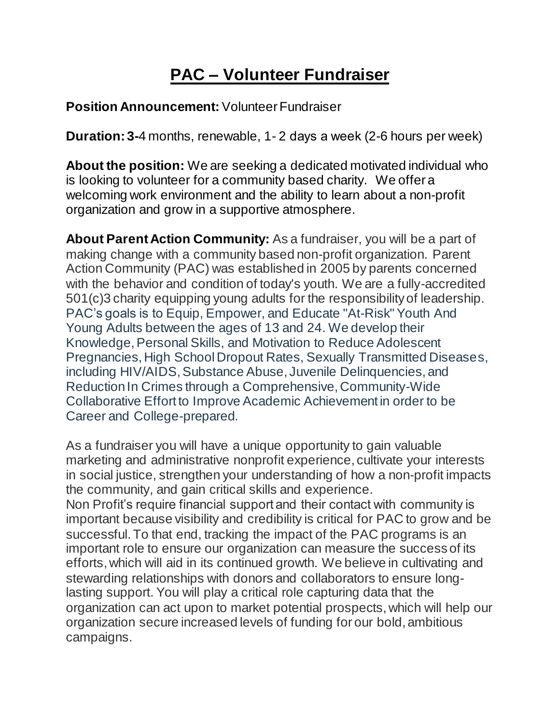## **PAC – Volunteer Fundraiser**

## **Position Announcement: Volunteer Fundraiser**

**Duration: 3-**4 months, renewable, 1- 2 days a week (2-6 hours per week)

**About the position:** We are seeking a dedicated motivated individual who is looking to volunteer for a community based charity. We offer a welcoming work environment and the ability to learn about a non-profit organization and grow in a supportive atmosphere.

**About Parent Action Community:** As a fundraiser, you will be a part of making change with a community based non-profit organization. Parent Action Community (PAC) was established in 2005 by parents concerned with the behavior and condition of today's youth. We are a fully-accredited 501(c)3 charity equipping young adults for the responsibility of leadership. PAC's goals is to Equip, Empower, and Educate "At-Risk" Youth And Young Adults between the ages of 13 and 24. We develop their Knowledge, Personal Skills, and Motivation to Reduce Adolescent Pregnancies, High School Dropout Rates, Sexually Transmitted Diseases, including HIV/AIDS, Substance Abuse, Juvenile Delinquencies, and Reduction In Crimes through a Comprehensive, Community-Wide Collaborative Effort to Improve Academic Achievement in order to be Career and College-prepared.

As a fundraiser you will have a unique opportunity to gain valuable marketing and administrative nonprofit experience, cultivate your interests in social justice, strengthen your understanding of how a non-profit impacts the community, and gain critical skills and experience.

Non Profit's require financial support and their contact with community is important because visibility and credibility is critical for PAC to grow and be successful. To that end, tracking the impact of the PAC programs is an important role to ensure our organization can measure the success of its efforts,which will aid in its continued growth. We believe in cultivating and stewarding relationships with donors and collaborators to ensure longlasting support. You will play a critical role capturing data that the organization can act upon to market potential prospects, which will help our organization secure increased levels of funding for our bold, ambitious campaigns.